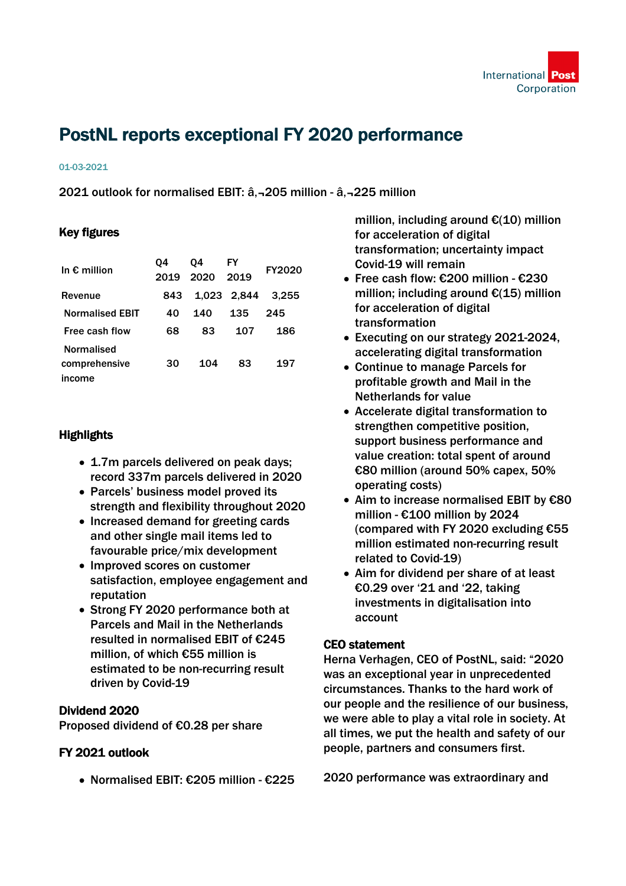

# PostNL reports exceptional FY 2020 performance

#### 01-03-2021

2021 outlook for normalised EBIT: â, - 205 million - â, - 225 million

## Key figures

| In $\epsilon$ million  | 04   | 04   | FY          | <b>FY2020</b> |
|------------------------|------|------|-------------|---------------|
|                        | 2019 | 2020 | 2019        |               |
| Revenue                | 843  |      | 1,023 2,844 | 3.255         |
| <b>Normalised EBIT</b> | 40   | 140  | 135         | 245           |
| Free cash flow         | 68   | 83   | 107         | 186           |
| Normalised             |      |      |             |               |
| comprehensive          | 30   | 104  | 83          | 197           |
| ıncome                 |      |      |             |               |

### **Highlights**

- 1.7m parcels delivered on peak days; record 337m parcels delivered in 2020
- Parcels' business model proved its strength and flexibility throughout 2020
- Increased demand for greeting cards and other single mail items led to favourable price/mix development
- Improved scores on customer satisfaction, employee engagement and reputation
- Strong FY 2020 performance both at Parcels and Mail in the Netherlands resulted in normalised EBIT of €245 million, of which €55 million is estimated to be non-recurring result driven by Covid-19

### Dividend 2020

Proposed dividend of €0.28 per share

### FY 2021 outlook

Normalised EBIT: €205 million - €225

million, including around €(10) million for acceleration of digital transformation; uncertainty impact Covid-19 will remain

- Free cash flow: €200 million €230 million; including around €(15) million for acceleration of digital transformation
- Executing on our strategy 2021-2024, accelerating digital transformation
- Continue to manage Parcels for profitable growth and Mail in the Netherlands for value
- Accelerate digital transformation to strengthen competitive position, support business performance and value creation: total spent of around €80 million (around 50% capex, 50% operating costs)
- Aim to increase normalised EBIT by €80 million - €100 million by 2024 (compared with FY 2020 excluding €55 million estimated non-recurring result related to Covid-19)
- Aim for dividend per share of at least €0.29 over '21 and '22, taking investments in digitalisation into account

### CEO statement

Herna Verhagen, CEO of PostNL, said: "2020 was an exceptional year in unprecedented circumstances. Thanks to the hard work of our people and the resilience of our business, we were able to play a vital role in society. At all times, we put the health and safety of our people, partners and consumers first.

2020 performance was extraordinary and